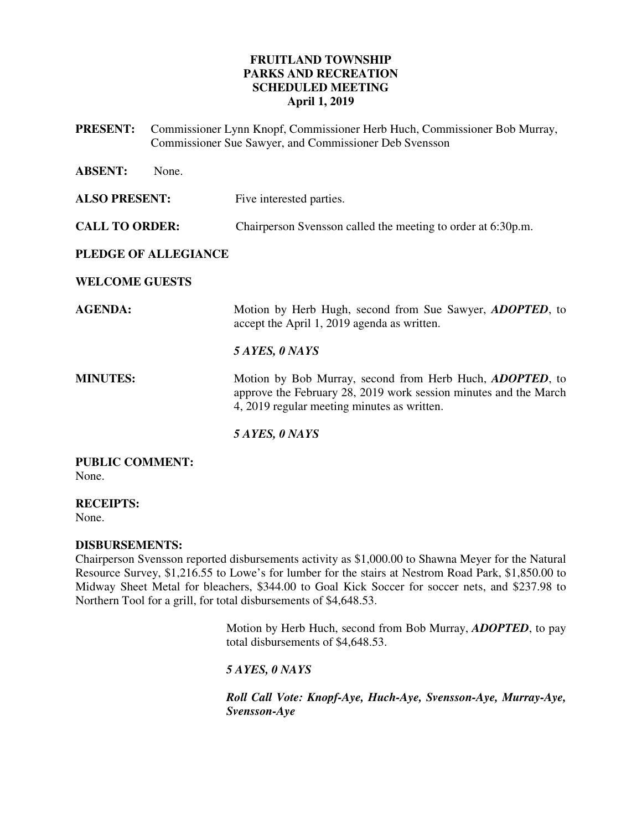## **FRUITLAND TOWNSHIP PARKS AND RECREATION SCHEDULED MEETING April 1, 2019**

**PRESENT:** Commissioner Lynn Knopf, Commissioner Herb Huch, Commissioner Bob Murray, Commissioner Sue Sawyer, and Commissioner Deb Svensson

| <b>ABSENT:</b><br>None.     |                                                                                                                                                                                     |
|-----------------------------|-------------------------------------------------------------------------------------------------------------------------------------------------------------------------------------|
| <b>ALSO PRESENT:</b>        | Five interested parties.                                                                                                                                                            |
| <b>CALL TO ORDER:</b>       | Chairperson Svensson called the meeting to order at 6:30p.m.                                                                                                                        |
| <b>PLEDGE OF ALLEGIANCE</b> |                                                                                                                                                                                     |
| <b>WELCOME GUESTS</b>       |                                                                                                                                                                                     |
| <b>AGENDA:</b>              | Motion by Herb Hugh, second from Sue Sawyer, <i>ADOPTED</i> , to<br>accept the April 1, 2019 agenda as written.                                                                     |
|                             | 5 AYES, 0 NAYS                                                                                                                                                                      |
| <b>MINUTES:</b>             | Motion by Bob Murray, second from Herb Huch, <i>ADOPTED</i> , to<br>approve the February 28, 2019 work session minutes and the March<br>4, 2019 regular meeting minutes as written. |
|                             | 5 AYES, 0 NAYS                                                                                                                                                                      |

#### **PUBLIC COMMENT:**  None.

**RECEIPTS:** 

None.

## **DISBURSEMENTS:**

Chairperson Svensson reported disbursements activity as \$1,000.00 to Shawna Meyer for the Natural Resource Survey, \$1,216.55 to Lowe's for lumber for the stairs at Nestrom Road Park, \$1,850.00 to Midway Sheet Metal for bleachers, \$344.00 to Goal Kick Soccer for soccer nets, and \$237.98 to Northern Tool for a grill, for total disbursements of \$4,648.53.

> Motion by Herb Huch, second from Bob Murray, *ADOPTED*, to pay total disbursements of \$4,648.53.

*5 AYES, 0 NAYS* 

*Roll Call Vote: Knopf-Aye, Huch-Aye, Svensson-Aye, Murray-Aye, Svensson-Aye*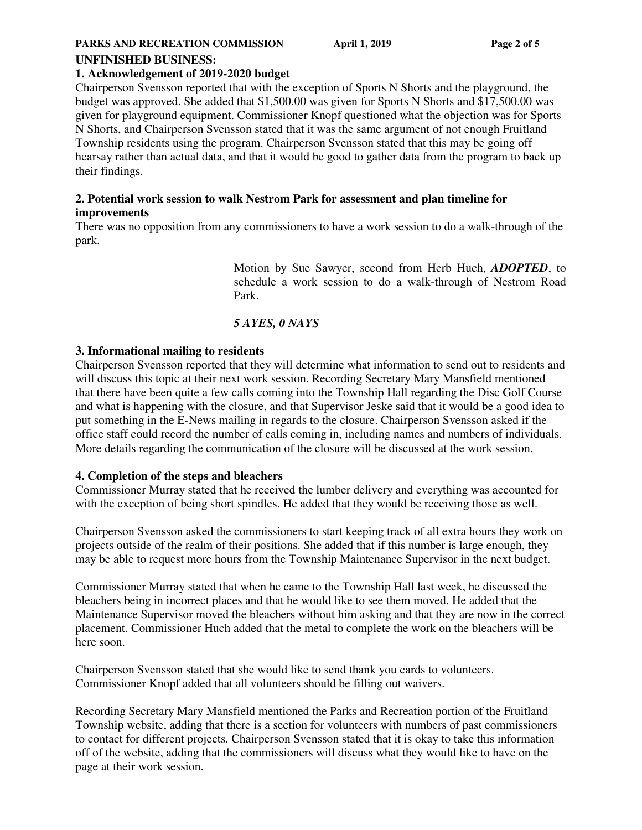#### **PARKS AND RECREATION COMMISSION April 1, 2019 Page 2 of 5**

### **UNFINISHED BUSINESS:**

### **1. Acknowledgement of 2019-2020 budget**

Chairperson Svensson reported that with the exception of Sports N Shorts and the playground, the budget was approved. She added that \$1,500.00 was given for Sports N Shorts and \$17,500.00 was given for playground equipment. Commissioner Knopf questioned what the objection was for Sports N Shorts, and Chairperson Svensson stated that it was the same argument of not enough Fruitland Township residents using the program. Chairperson Svensson stated that this may be going off hearsay rather than actual data, and that it would be good to gather data from the program to back up their findings.

### **2. Potential work session to walk Nestrom Park for assessment and plan timeline for improvements**

There was no opposition from any commissioners to have a work session to do a walk-through of the park.

> Motion by Sue Sawyer, second from Herb Huch, *ADOPTED*, to schedule a work session to do a walk-through of Nestrom Road Park.

## *5 AYES, 0 NAYS*

## **3. Informational mailing to residents**

Chairperson Svensson reported that they will determine what information to send out to residents and will discuss this topic at their next work session. Recording Secretary Mary Mansfield mentioned that there have been quite a few calls coming into the Township Hall regarding the Disc Golf Course and what is happening with the closure, and that Supervisor Jeske said that it would be a good idea to put something in the E-News mailing in regards to the closure. Chairperson Svensson asked if the office staff could record the number of calls coming in, including names and numbers of individuals. More details regarding the communication of the closure will be discussed at the work session.

### **4. Completion of the steps and bleachers**

Commissioner Murray stated that he received the lumber delivery and everything was accounted for with the exception of being short spindles. He added that they would be receiving those as well.

Chairperson Svensson asked the commissioners to start keeping track of all extra hours they work on projects outside of the realm of their positions. She added that if this number is large enough, they may be able to request more hours from the Township Maintenance Supervisor in the next budget.

Commissioner Murray stated that when he came to the Township Hall last week, he discussed the bleachers being in incorrect places and that he would like to see them moved. He added that the Maintenance Supervisor moved the bleachers without him asking and that they are now in the correct placement. Commissioner Huch added that the metal to complete the work on the bleachers will be here soon.

Chairperson Svensson stated that she would like to send thank you cards to volunteers. Commissioner Knopf added that all volunteers should be filling out waivers.

Recording Secretary Mary Mansfield mentioned the Parks and Recreation portion of the Fruitland Township website, adding that there is a section for volunteers with numbers of past commissioners to contact for different projects. Chairperson Svensson stated that it is okay to take this information off of the website, adding that the commissioners will discuss what they would like to have on the page at their work session.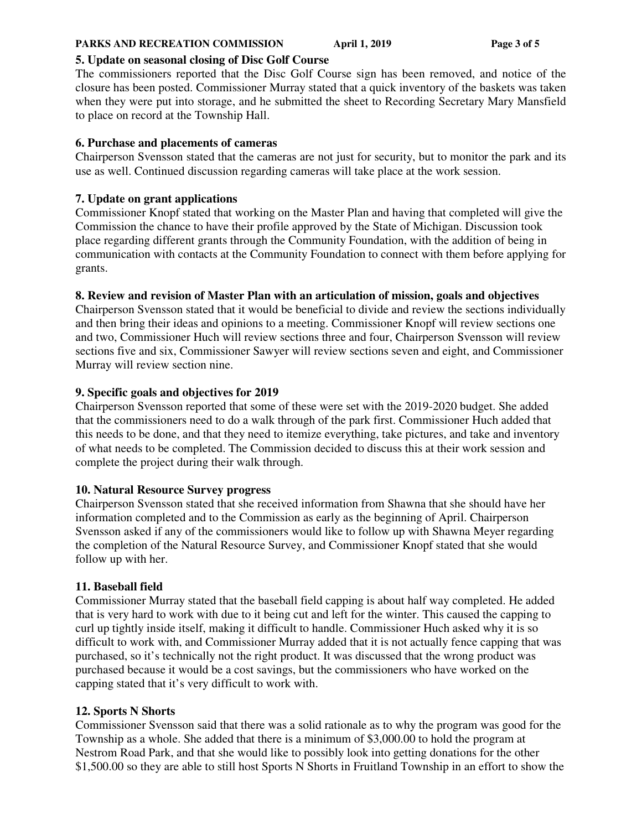### **PARKS AND RECREATION COMMISSION April 1, 2019 Page 3 of 5**

# **5. Update on seasonal closing of Disc Golf Course**

The commissioners reported that the Disc Golf Course sign has been removed, and notice of the closure has been posted. Commissioner Murray stated that a quick inventory of the baskets was taken when they were put into storage, and he submitted the sheet to Recording Secretary Mary Mansfield to place on record at the Township Hall.

# **6. Purchase and placements of cameras**

Chairperson Svensson stated that the cameras are not just for security, but to monitor the park and its use as well. Continued discussion regarding cameras will take place at the work session.

# **7. Update on grant applications**

Commissioner Knopf stated that working on the Master Plan and having that completed will give the Commission the chance to have their profile approved by the State of Michigan. Discussion took place regarding different grants through the Community Foundation, with the addition of being in communication with contacts at the Community Foundation to connect with them before applying for grants.

# **8. Review and revision of Master Plan with an articulation of mission, goals and objectives**

Chairperson Svensson stated that it would be beneficial to divide and review the sections individually and then bring their ideas and opinions to a meeting. Commissioner Knopf will review sections one and two, Commissioner Huch will review sections three and four, Chairperson Svensson will review sections five and six, Commissioner Sawyer will review sections seven and eight, and Commissioner Murray will review section nine.

# **9. Specific goals and objectives for 2019**

Chairperson Svensson reported that some of these were set with the 2019-2020 budget. She added that the commissioners need to do a walk through of the park first. Commissioner Huch added that this needs to be done, and that they need to itemize everything, take pictures, and take and inventory of what needs to be completed. The Commission decided to discuss this at their work session and complete the project during their walk through.

# **10. Natural Resource Survey progress**

Chairperson Svensson stated that she received information from Shawna that she should have her information completed and to the Commission as early as the beginning of April. Chairperson Svensson asked if any of the commissioners would like to follow up with Shawna Meyer regarding the completion of the Natural Resource Survey, and Commissioner Knopf stated that she would follow up with her.

# **11. Baseball field**

Commissioner Murray stated that the baseball field capping is about half way completed. He added that is very hard to work with due to it being cut and left for the winter. This caused the capping to curl up tightly inside itself, making it difficult to handle. Commissioner Huch asked why it is so difficult to work with, and Commissioner Murray added that it is not actually fence capping that was purchased, so it's technically not the right product. It was discussed that the wrong product was purchased because it would be a cost savings, but the commissioners who have worked on the capping stated that it's very difficult to work with.

# **12. Sports N Shorts**

Commissioner Svensson said that there was a solid rationale as to why the program was good for the Township as a whole. She added that there is a minimum of \$3,000.00 to hold the program at Nestrom Road Park, and that she would like to possibly look into getting donations for the other \$1,500.00 so they are able to still host Sports N Shorts in Fruitland Township in an effort to show the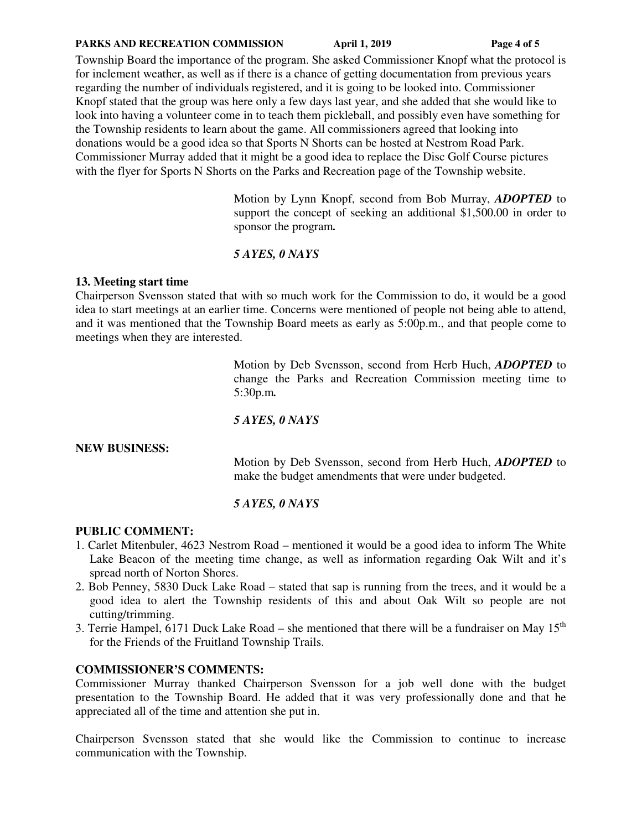#### **PARKS AND RECREATION COMMISSION April 1, 2019 Page 4 of 5**

Township Board the importance of the program. She asked Commissioner Knopf what the protocol is for inclement weather, as well as if there is a chance of getting documentation from previous years regarding the number of individuals registered, and it is going to be looked into. Commissioner Knopf stated that the group was here only a few days last year, and she added that she would like to look into having a volunteer come in to teach them pickleball, and possibly even have something for the Township residents to learn about the game. All commissioners agreed that looking into donations would be a good idea so that Sports N Shorts can be hosted at Nestrom Road Park. Commissioner Murray added that it might be a good idea to replace the Disc Golf Course pictures with the flyer for Sports N Shorts on the Parks and Recreation page of the Township website.

> Motion by Lynn Knopf, second from Bob Murray, *ADOPTED* to support the concept of seeking an additional \$1,500.00 in order to sponsor the program*.*

## *5 AYES, 0 NAYS*

### **13. Meeting start time**

Chairperson Svensson stated that with so much work for the Commission to do, it would be a good idea to start meetings at an earlier time. Concerns were mentioned of people not being able to attend, and it was mentioned that the Township Board meets as early as 5:00p.m., and that people come to meetings when they are interested.

> Motion by Deb Svensson, second from Herb Huch, *ADOPTED* to change the Parks and Recreation Commission meeting time to 5:30p.m*.*

### *5 AYES, 0 NAYS*

### **NEW BUSINESS:**

 Motion by Deb Svensson, second from Herb Huch, *ADOPTED* to make the budget amendments that were under budgeted.

## *5 AYES, 0 NAYS*

## **PUBLIC COMMENT:**

- 1. Carlet Mitenbuler, 4623 Nestrom Road mentioned it would be a good idea to inform The White Lake Beacon of the meeting time change, as well as information regarding Oak Wilt and it's spread north of Norton Shores.
- 2. Bob Penney, 5830 Duck Lake Road stated that sap is running from the trees, and it would be a good idea to alert the Township residents of this and about Oak Wilt so people are not cutting/trimming.
- 3. Terrie Hampel, 6171 Duck Lake Road she mentioned that there will be a fundraiser on May  $15<sup>th</sup>$ for the Friends of the Fruitland Township Trails.

## **COMMISSIONER'S COMMENTS:**

Commissioner Murray thanked Chairperson Svensson for a job well done with the budget presentation to the Township Board. He added that it was very professionally done and that he appreciated all of the time and attention she put in.

Chairperson Svensson stated that she would like the Commission to continue to increase communication with the Township.